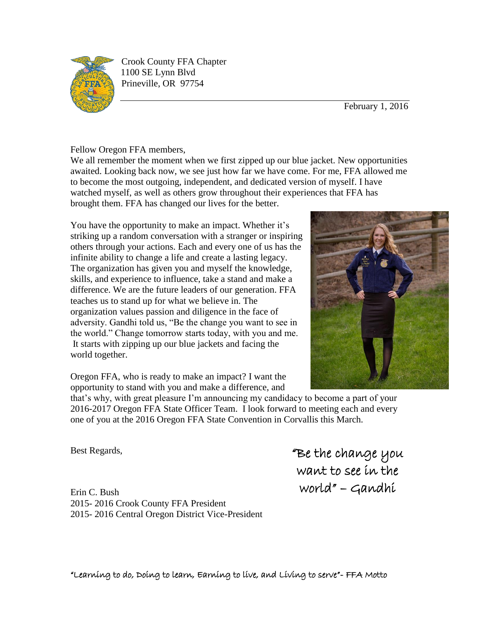

Crook County FFA Chapter 1100 SE Lynn Blvd Prineville, OR 97754

February 1, 2016

Fellow Oregon FFA members,

We all remember the moment when we first zipped up our blue jacket. New opportunities awaited. Looking back now, we see just how far we have come. For me, FFA allowed me to become the most outgoing, independent, and dedicated version of myself. I have watched myself, as well as others grow throughout their experiences that FFA has brought them. FFA has changed our lives for the better.

You have the opportunity to make an impact. Whether it's striking up a random conversation with a stranger or inspiring others through your actions. Each and every one of us has the infinite ability to change a life and create a lasting legacy. The organization has given you and myself the knowledge, skills, and experience to influence, take a stand and make a difference. We are the future leaders of our generation. FFA teaches us to stand up for what we believe in. The organization values passion and diligence in the face of adversity. Gandhi told us, "Be the change you want to see in the world." Change tomorrow starts today, with you and me. It starts with zipping up our blue jackets and facing the world together.

Oregon FFA, who is ready to make an impact? I want the opportunity to stand with you and make a difference, and



that's why, with great pleasure I'm announcing my candidacy to become a part of your 2016-2017 Oregon FFA State Officer Team. I look forward to meeting each and every one of you at the 2016 Oregon FFA State Convention in Corvallis this March.

Best Regards,

Erin C. Bush 2015- 2016 Crook County FFA President 2015- 2016 Central Oregon District Vice-President "Be the change you want to see in the world" – Gandhi